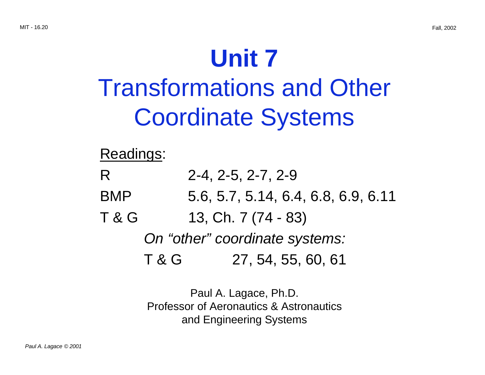# **Unit 7** Transformations and Other Coordinate Systems

Readings:

| R                              |                     | $2-4, 2-5, 2-7, 2-9$                |  |
|--------------------------------|---------------------|-------------------------------------|--|
| <b>BMP</b>                     |                     | 5.6, 5.7, 5.14, 6.4, 6.8, 6.9, 6.11 |  |
| <b>T &amp; G</b>               | 13, Ch. 7 (74 - 83) |                                     |  |
| On "other" coordinate systems: |                     |                                     |  |
|                                | T&G                 | 27, 54, 55, 60, 61                  |  |

Paul A. Lagace, Ph.D. Professor of Aeronautics & Astronautics and Engineering Systems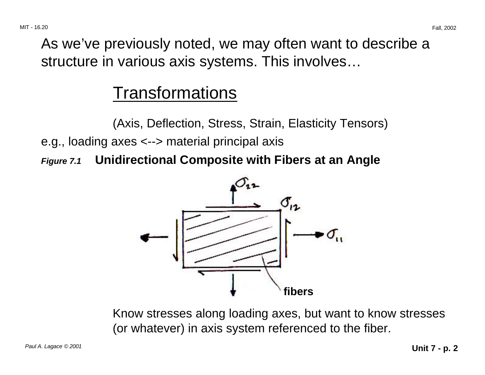As we've previously noted, we may often want to describe a structure in various axis systems. This involves…

## **Transformations**

(Axis, Deflection, Stress, Strain, Elasticity Tensors)

e.g., loading axes <--> material principal axis

**Figure 7.1 Unidirectional Composite with Fibers at an Angle** 



Know stresses along loading axes, but want to know stresses (or whatever) in axis system referenced to the fiber.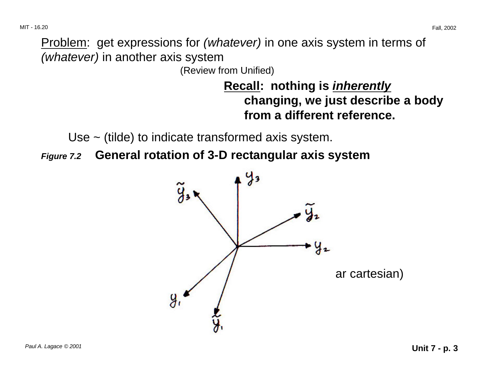Problem: get expressions for (whatever) in one axis system in terms of (whatever) in another axis system

(Review from Unified)

### **Recall: nothing is inherently changing, we just describe a body from a different reference.**

Use ~ (tilde) to indicate transformed axis system.

**Figure 7.2 General rotation of 3-D rectangular axis system** 

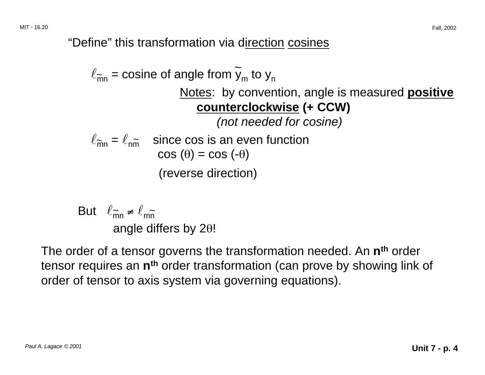"Define" this transformation via direction cosines

$$
\ell_{\widetilde{m}n} = \text{cosine of angle from } \widetilde{y}_m \text{ to } y_n
$$
\nNotes: by convention, angle is measured positive  
\ncounterclockwise (+ CCW)  
\n*(not needed for cosine)*  
\n
$$
\ell_{\widetilde{m}n} = \ell_{n\widetilde{m}} \quad \text{since cos is an even function}
$$
\n
$$
\cos (\theta) = \cos (-\theta)
$$
\n(reverse direction)

But  $\ell_{\widetilde{mn}} \neq \ell_{m\widetilde{n}}$ angle differs by 2θ!

The order of a tensor governs the transformation needed. An **nth** order tensor requires an **nth** order transformation (can prove by showing link of order of tensor to axis system via governing equations).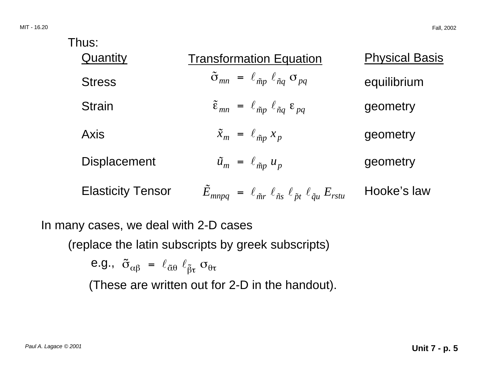| Thus:                    |                                                                                                     |                       |
|--------------------------|-----------------------------------------------------------------------------------------------------|-----------------------|
| Quantity                 | <b>Transformation Equation</b>                                                                      | <b>Physical Basis</b> |
| <b>Stress</b>            | $\tilde{\sigma}_{mn} = \ell_{\tilde{m}p} \ell_{\tilde{n}q} \sigma_{pq}$                             | equilibrium           |
| <b>Strain</b>            | $\tilde{\varepsilon}_{mn} = \ell_{\tilde{m}p} \ell_{\tilde{n}q} \varepsilon_{pq}$                   | geometry              |
| <b>Axis</b>              | $\tilde{x}_m = \ell_{\tilde{m}p} x_p$                                                               | geometry              |
| <b>Displacement</b>      | $\tilde{u}_m = \ell_{\tilde{m}p} u_p$                                                               | geometry              |
| <b>Elasticity Tensor</b> | $\vec{E}_{mnpq} = \ell_{\tilde{m}r} \ell_{\tilde{n}s} \ell_{\tilde{p}t} \ell_{\tilde{q}u} E_{rstu}$ | Hooke's law           |
|                          |                                                                                                     |                       |

In many cases, we deal with 2-D cases

(replace the latin subscripts by greek subscripts)

e.g.,  $\tilde{\sigma}_{\alpha\beta} = \ell_{\tilde{\alpha}\theta} \ell_{\tilde{\beta}\tau} \sigma_{\theta\tau}$ 

(These are written out for 2-D in the handout).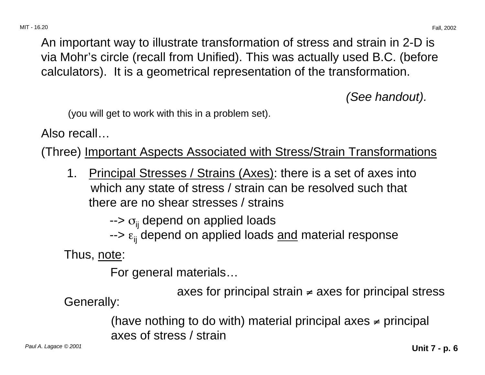An important way to illustrate transformation of stress and strain in 2-D is via Mohr's circle (recall from Unified). This was actually used B.C. (before calculators). It is a geometrical representation of the transformation.

(See handout).

(you will get to work with this in a problem set).

Also recall…

(Three) Important Aspects Associated with Stress/Strain Transformations

1. Principal Stresses / Strains (Axes): there is a set of axes into which any state of stress / strain can be resolved such that there are no shear stresses / strains

-->  $\sigma_{\scriptscriptstyle\rm ij}$  depend on applied loads

--> ε<sub>ij</sub> depend on applied loads <u>and</u> material response

Thus, note:

For general materials…

axes for principal strain ≠ axes for principal stress Generally:

(have nothing to do with) material principal axes  $\neq$  principal axes of stress / strain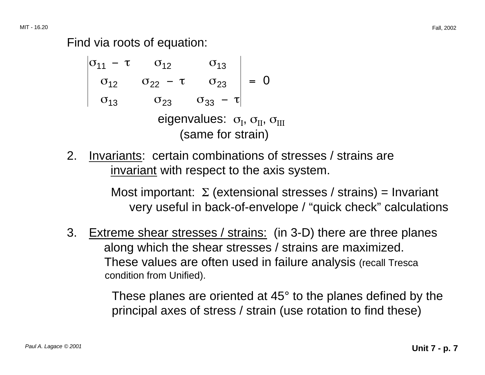Find via roots of equation:

$$
\begin{vmatrix}\n\sigma_{11} - \tau & \sigma_{12} & \sigma_{13} \\
\sigma_{12} & \sigma_{22} - \tau & \sigma_{23} \\
\sigma_{13} & \sigma_{23} & \sigma_{33} - \tau\n\end{vmatrix} = 0
$$
\neigenvalues:  $\sigma_{I}, \sigma_{II}, \sigma_{III}$   
\n(same for strain)

2. Invariants: certain combinations of stresses / strains are invariant with respect to the axis system.

> Most important:  $\Sigma$  (extensional stresses / strains) = Invariant very useful in back-of-envelope / "quick check" calculations

3. Extreme shear stresses / strains: (in 3-D) there are three planes along which the shear stresses / strains are maximized. These values are often used in failure analysis (recall Tresca condition from Unified).

> These planes are oriented at 45° to the planes defined by the principal axes of stress / strain (use rotation to find these)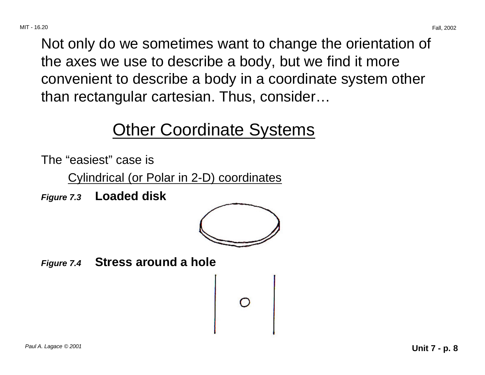Not only do we sometimes want to change the orientation of the axes we use to describe a body, but we find it more convenient to describe a body in a coordinate system other than rectangular cartesian. Thus, consider…

# Other Coordinate Systems

The "easiest" case is

Cylindrical (or Polar in 2-D) coordinates

**Figure 7.3 Loaded disk** 



**Figure 7.4 Stress around a hole**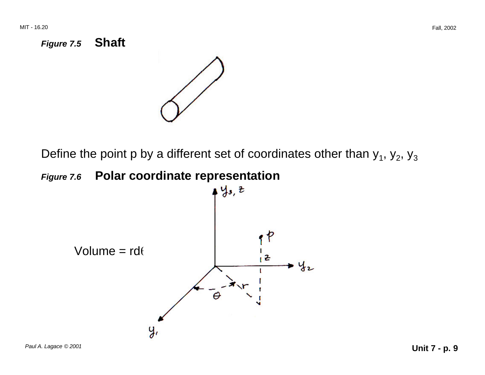



Define the point p by a different set of coordinates other than  $y_1$ ,  $y_2$ ,  $y_3$ 



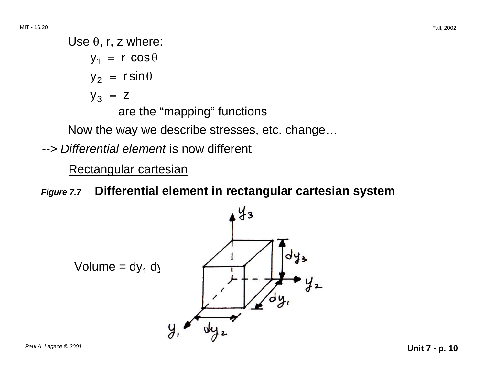Use  $\theta$ , r, z where:  $y_1 = r \cos \theta$  $y_2$  = r sin $\theta$  $y_3 = z$ are the "mapping" functions

Now the way we describe stresses, etc. change…

--> Differential element is now different

Rectangular cartesian

**Figure 7.7 Differential element in rectangular cartesian system** 

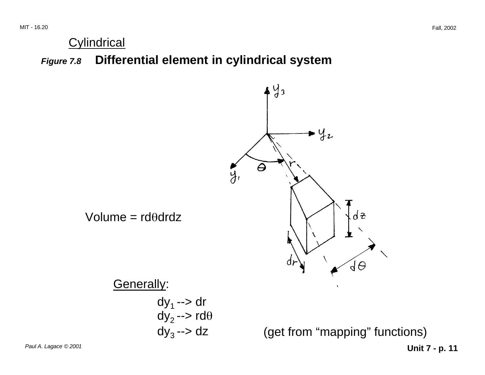#### **Cylindrical**

**Figure 7.8 Differential element in cylindrical system** 

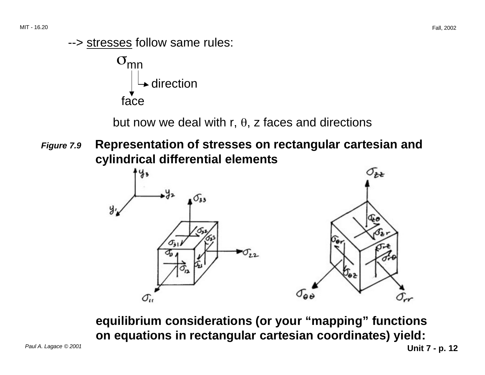

but now we deal with r,  $θ$ , z faces and directions

**Figure 7.9 Representation of stresses on rectangular cartesian and cylindrical differential elements** 



**equilibrium considerations (or your "mapping" functions on equations in rectangular cartesian coordinates) yield:**  Paul A. Lagace © 2001 **Unit 7 - p. 12**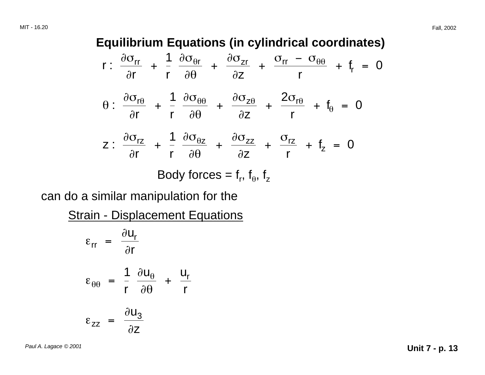#### **Equilibrium Equations (in cylindrical coordinates)**

$$
r: \frac{\partial \sigma_{rr}}{\partial r} + \frac{1}{r} \frac{\partial \sigma_{\theta r}}{\partial \theta} + \frac{\partial \sigma_{zr}}{\partial z} + \frac{\sigma_{rr} - \sigma_{\theta \theta}}{r} + f_r = 0
$$
  

$$
\theta: \frac{\partial \sigma_{r\theta}}{\partial r} + \frac{1}{r} \frac{\partial \sigma_{\theta \theta}}{\partial \theta} + \frac{\partial \sigma_{z\theta}}{\partial z} + \frac{2\sigma_{r\theta}}{r} + f_{\theta} = 0
$$
  

$$
z: \frac{\partial \sigma_{rz}}{\partial r} + \frac{1}{r} \frac{\partial \sigma_{\theta z}}{\partial \theta} + \frac{\partial \sigma_{zz}}{\partial z} + \frac{\sigma_{rz}}{r} + f_z = 0
$$

Body forces =  $f_r$ ,  $f_\theta$ ,  $f_z$ 

can do a similar manipulation for the

**Strain - Displacement Equations** 

$$
\varepsilon_{rr} = \frac{\partial u_r}{\partial r}
$$
  
\n
$$
\varepsilon_{\theta\theta} = \frac{1}{r} \frac{\partial u_{\theta}}{\partial \theta} + \frac{u_r}{r}
$$
  
\n
$$
\varepsilon_{zz} = \frac{\partial u_3}{\partial z}
$$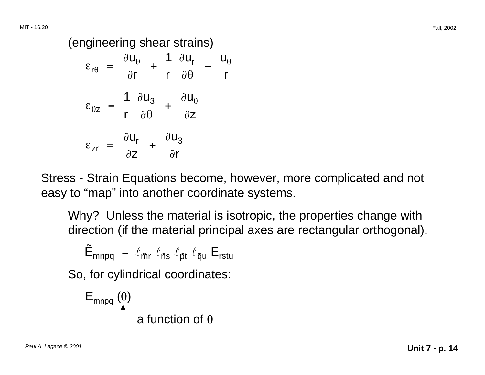(engineering shear strains)

$$
\varepsilon_{r\theta} = \frac{\partial u_{\theta}}{\partial r} + \frac{1}{r} \frac{\partial u_{r}}{\partial \theta} - \frac{u_{\theta}}{r}
$$

$$
\varepsilon_{\theta z} = \frac{1}{r} \frac{\partial u_{3}}{\partial \theta} + \frac{\partial u_{\theta}}{\partial z}
$$

$$
\varepsilon_{zr} = \frac{\partial u_{r}}{\partial z} + \frac{\partial u_{3}}{\partial r}
$$

Stress - Strain Equations become, however, more complicated and not easy to "map" into another coordinate systems.

Why? Unless the material is isotropic, the properties change with direction (if the material principal axes are rectangular orthogonal).

$$
\tilde{E}_{mnpq} = \ell_{\tilde{m}r} \ell_{\tilde{n}s} \ell_{\tilde{p}t} \ell_{\tilde{q}u} E_{rstu}
$$

So, for cylindrical coordinates:

$$
E_{\text{mnpq}}\stackrel{(\theta)}{\uparrow}
$$
 a function of  $\theta$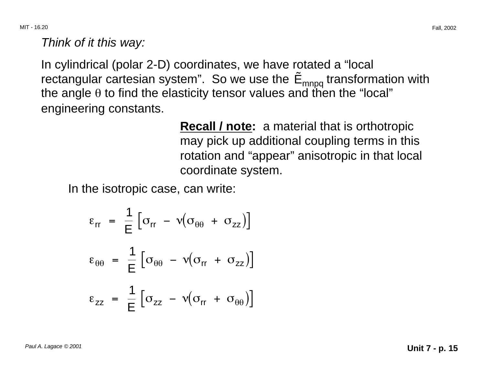MIT - 16.20 Fall, 2002

Think of it this way:

In cylindrical (polar 2-D) coordinates, we have rotated a "local rectangular cartesian system". So we use the  $\tilde{E}_{mnpq}$  transformation with the angle  $\theta$  to find the elasticity tensor values and then the "local" engineering constants.

> **Recall / note:** a material that is orthotropic may pick up additional coupling terms in this rotation and "appear" anisotropic in that local coordinate system.

In the isotropic case, can write:

$$
\varepsilon_{rr} = \frac{1}{E} \left[ \sigma_{rr} - \nu (\sigma_{\theta\theta} + \sigma_{zz}) \right]
$$
  

$$
\varepsilon_{\theta\theta} = \frac{1}{E} \left[ \sigma_{\theta\theta} - \nu (\sigma_{rr} + \sigma_{zz}) \right]
$$
  

$$
\varepsilon_{zz} = \frac{1}{E} \left[ \sigma_{zz} - \nu (\sigma_{rr} + \sigma_{\theta\theta}) \right]
$$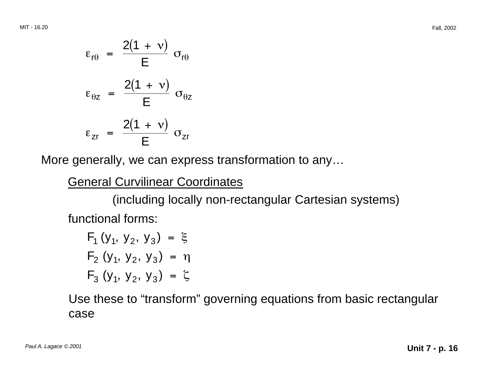$$
\varepsilon_{r\theta} = \frac{2(1 + v)}{E} \sigma_{r\theta}
$$

$$
\varepsilon_{\theta z} = \frac{2(1 + v)}{E} \sigma_{\theta z}
$$

$$
\varepsilon_{zr} = \frac{2(1 + v)}{E} \sigma_{zr}
$$

More generally, we can express transformation to any…

General Curvilinear Coordinates

(including locally non-rectangular Cartesian systems) functional forms:

 $F_1 (y_1, y_2, y_3) = \xi$  $F_2(y_1, y_2, y_3) = \eta$  $F_3(y_1, y_2, y_3) = \zeta$ 

Use these to "transform" governing equations from basic rectangular case